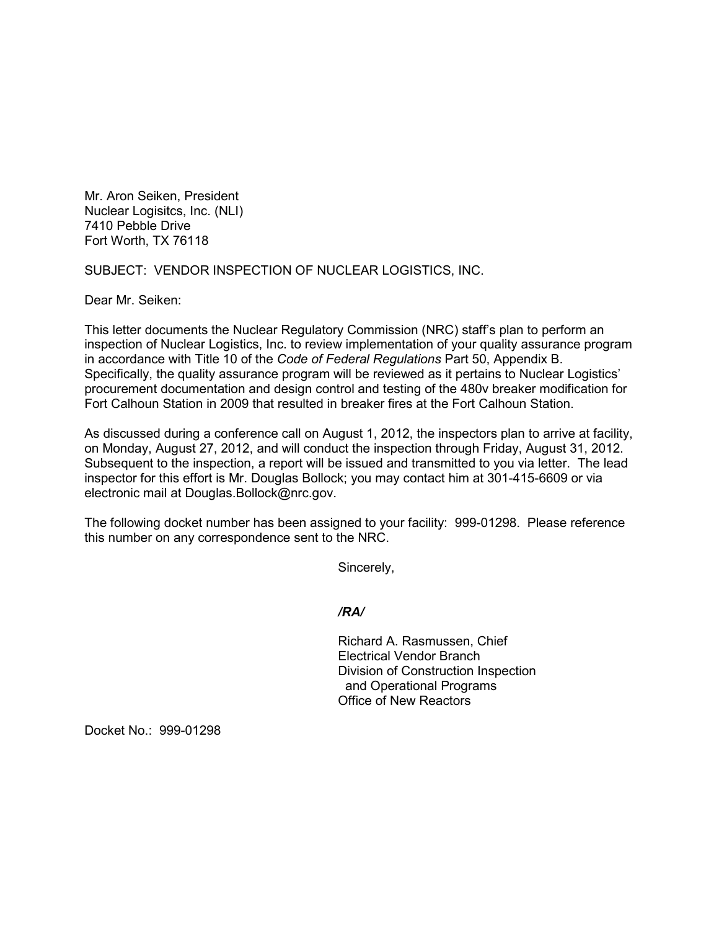Mr. Aron Seiken, President Nuclear Logisitcs, Inc. (NLI) 7410 Pebble Drive Fort Worth, TX 76118

SUBJECT: VENDOR INSPECTION OF NUCLEAR LOGISTICS, INC.

Dear Mr. Seiken:

This letter documents the Nuclear Regulatory Commission (NRC) staff's plan to perform an inspection of Nuclear Logistics, Inc. to review implementation of your quality assurance program in accordance with Title 10 of the *Code of Federal Regulations* Part 50, Appendix B. Specifically, the quality assurance program will be reviewed as it pertains to Nuclear Logistics' procurement documentation and design control and testing of the 480v breaker modification for Fort Calhoun Station in 2009 that resulted in breaker fires at the Fort Calhoun Station.

As discussed during a conference call on August 1, 2012, the inspectors plan to arrive at facility, on Monday, August 27, 2012, and will conduct the inspection through Friday, August 31, 2012. Subsequent to the inspection, a report will be issued and transmitted to you via letter. The lead inspector for this effort is Mr. Douglas Bollock; you may contact him at 301-415-6609 or via electronic mail at Douglas.Bollock@nrc.gov.

The following docket number has been assigned to your facility: 999-01298. Please reference this number on any correspondence sent to the NRC.

Sincerely,

## */RA/*

Richard A. Rasmussen, Chief Electrical Vendor Branch Division of Construction Inspection and Operational Programs Office of New Reactors

Docket No.: 999-01298